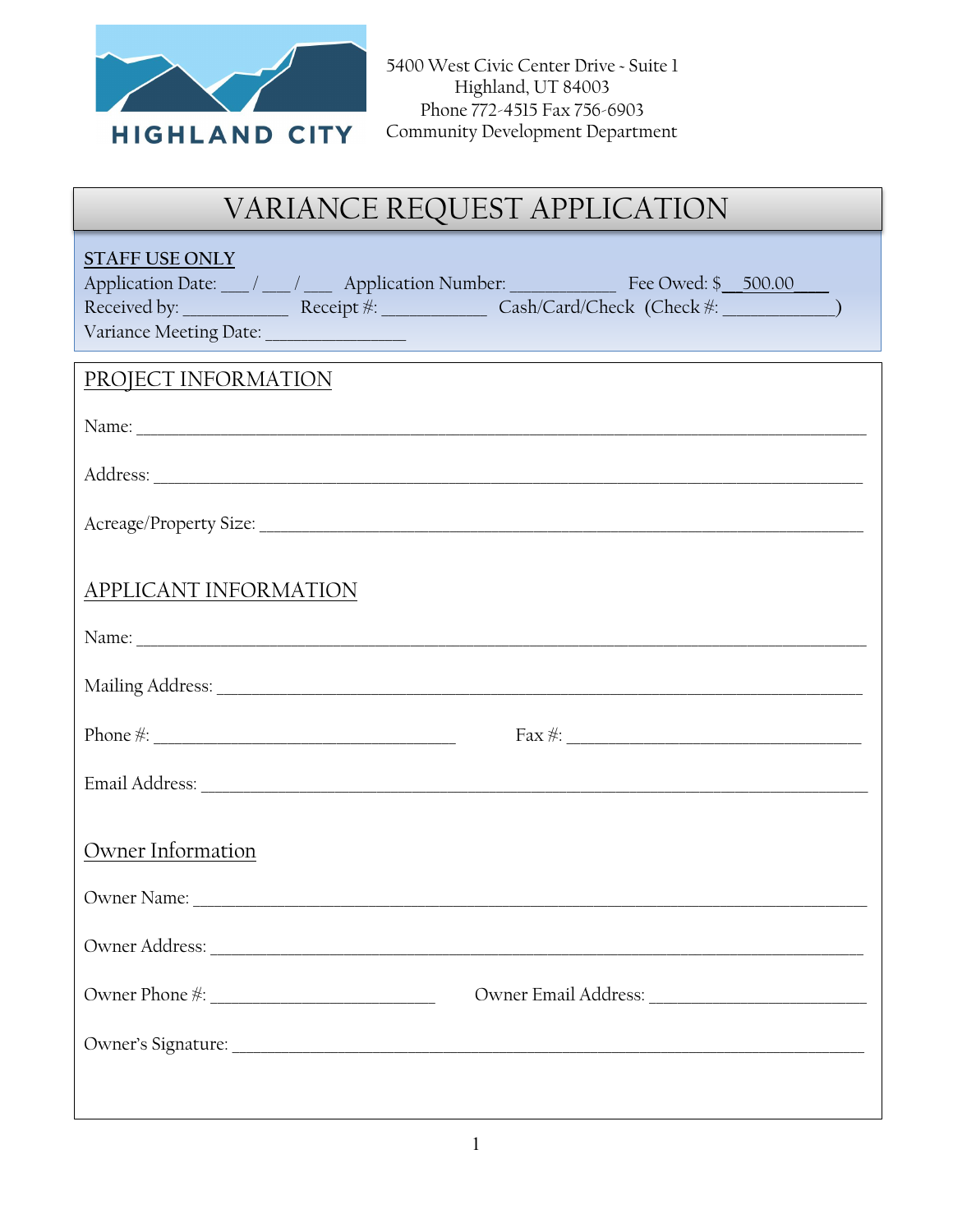

# VARIANCE REQUEST APPLICATION

| <b>STAFF USE ONLY</b><br>Application Date: 1 1 1 2 Application Number: The Owed: \$ 500.00 |  |  |
|--------------------------------------------------------------------------------------------|--|--|
|                                                                                            |  |  |
|                                                                                            |  |  |
| PROJECT INFORMATION                                                                        |  |  |
|                                                                                            |  |  |
|                                                                                            |  |  |
|                                                                                            |  |  |
| APPLICANT INFORMATION                                                                      |  |  |
|                                                                                            |  |  |
|                                                                                            |  |  |
|                                                                                            |  |  |
|                                                                                            |  |  |
| Owner Information                                                                          |  |  |
|                                                                                            |  |  |
|                                                                                            |  |  |
|                                                                                            |  |  |
|                                                                                            |  |  |
|                                                                                            |  |  |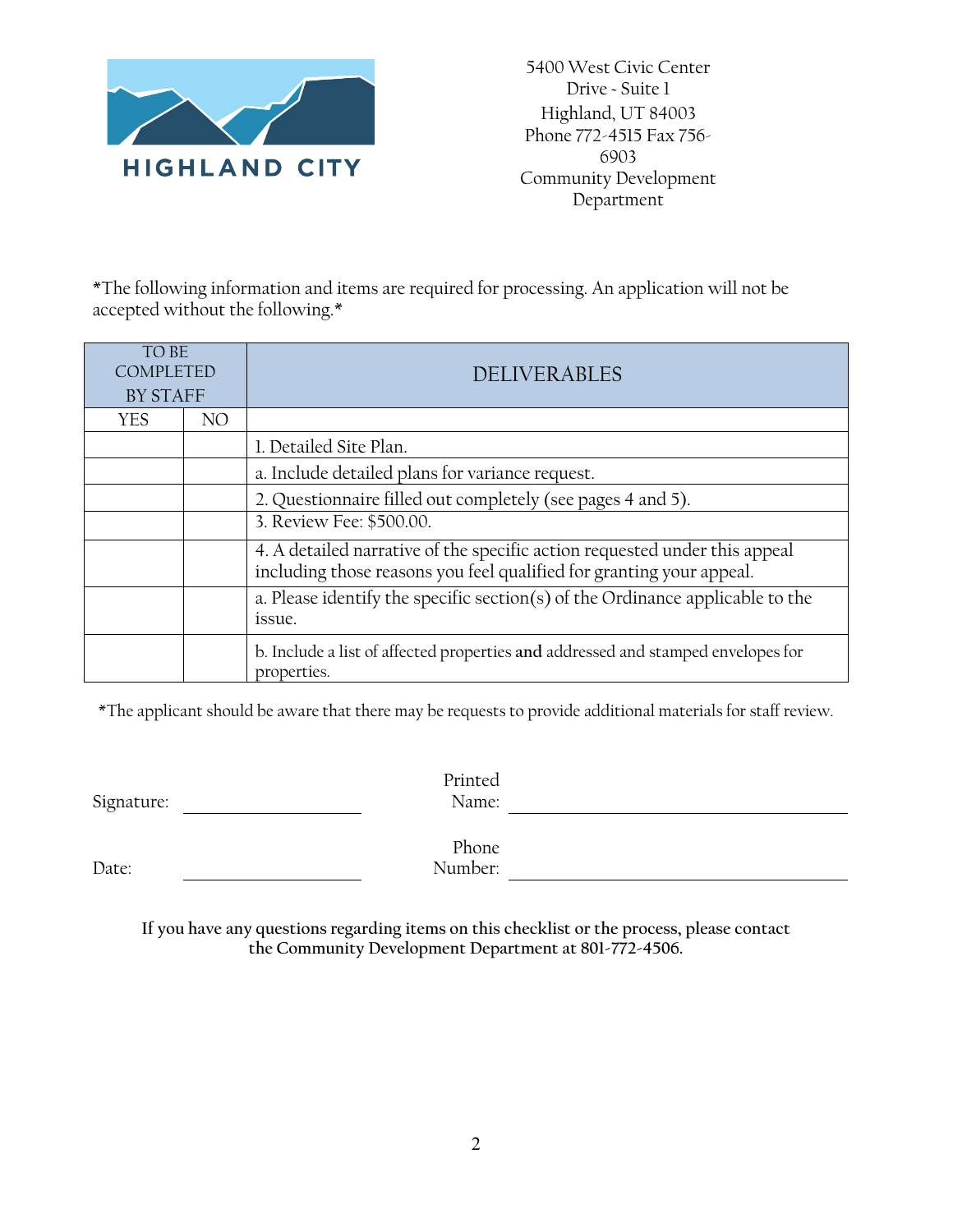

5400 West Civic Center Drive ~ Suite 1 Highland, UT 84003 Phone 772-4515 Fax 756- 6903 Community Development Department

\*The following information and items are required for processing. An application will not be accepted without the following.\*

| TO BE<br><b>COMPLETED</b><br><b>BY STAFF</b> |     | <b>DELIVERABLES</b>                                                                                                                                |  |  |
|----------------------------------------------|-----|----------------------------------------------------------------------------------------------------------------------------------------------------|--|--|
| <b>YES</b>                                   | NO. |                                                                                                                                                    |  |  |
|                                              |     | 1. Detailed Site Plan.                                                                                                                             |  |  |
|                                              |     | a. Include detailed plans for variance request.                                                                                                    |  |  |
|                                              |     | 2. Questionnaire filled out completely (see pages 4 and 5).                                                                                        |  |  |
|                                              |     | 3. Review Fee: \$500.00.                                                                                                                           |  |  |
|                                              |     | 4. A detailed narrative of the specific action requested under this appeal<br>including those reasons you feel qualified for granting your appeal. |  |  |
|                                              |     | a. Please identify the specific section(s) of the Ordinance applicable to the<br>issue.                                                            |  |  |
|                                              |     | b. Include a list of affected properties and addressed and stamped envelopes for<br>properties.                                                    |  |  |

\*The applicant should be aware that there may be requests to provide additional materials for staff review.

| Signature: | Printed<br>Name: |  |
|------------|------------------|--|
| Date:      | Phone<br>Number: |  |

**If you have any questions regarding items on this checklist or the process, please contact the Community Development Department at 801-772-4506.**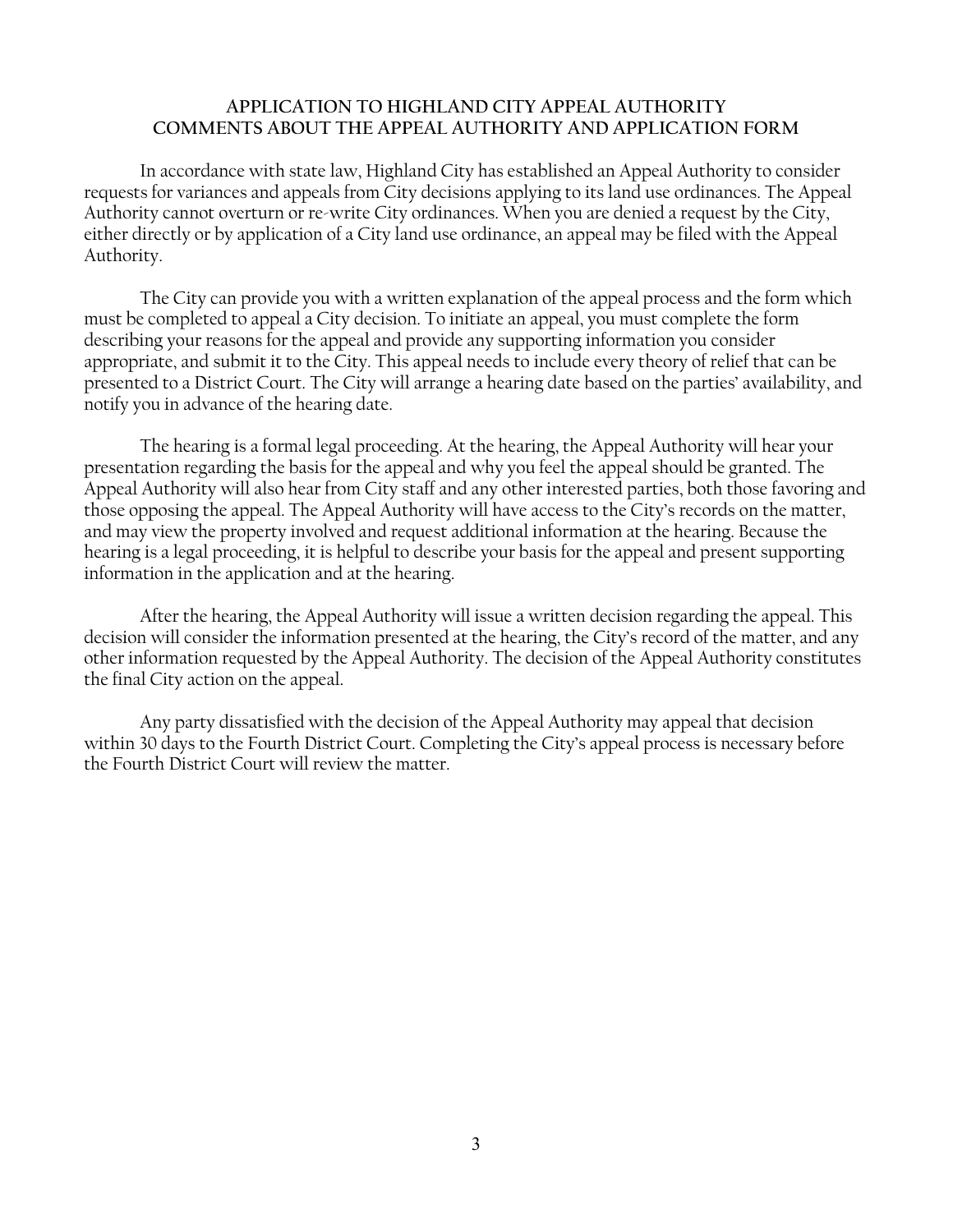#### **APPLICATION TO HIGHLAND CITY APPEAL AUTHORITY COMMENTS ABOUT THE APPEAL AUTHORITY AND APPLICATION FORM**

In accordance with state law, Highland City has established an Appeal Authority to consider requests for variances and appeals from City decisions applying to its land use ordinances. The Appeal Authority cannot overturn or re-write City ordinances. When you are denied a request by the City, either directly or by application of a City land use ordinance, an appeal may be filed with the Appeal Authority.

The City can provide you with a written explanation of the appeal process and the form which must be completed to appeal a City decision. To initiate an appeal, you must complete the form describing your reasons for the appeal and provide any supporting information you consider appropriate, and submit it to the City. This appeal needs to include every theory of relief that can be presented to a District Court. The City will arrange a hearing date based on the parties' availability, and notify you in advance of the hearing date.

The hearing is a formal legal proceeding. At the hearing, the Appeal Authority will hear your presentation regarding the basis for the appeal and why you feel the appeal should be granted. The Appeal Authority will also hear from City staff and any other interested parties, both those favoring and those opposing the appeal. The Appeal Authority will have access to the City's records on the matter, and may view the property involved and request additional information at the hearing. Because the hearing is a legal proceeding, it is helpful to describe your basis for the appeal and present supporting information in the application and at the hearing.

After the hearing, the Appeal Authority will issue a written decision regarding the appeal. This decision will consider the information presented at the hearing, the City's record of the matter, and any other information requested by the Appeal Authority. The decision of the Appeal Authority constitutes the final City action on the appeal.

Any party dissatisfied with the decision of the Appeal Authority may appeal that decision within 30 days to the Fourth District Court. Completing the City's appeal process is necessary before the Fourth District Court will review the matter.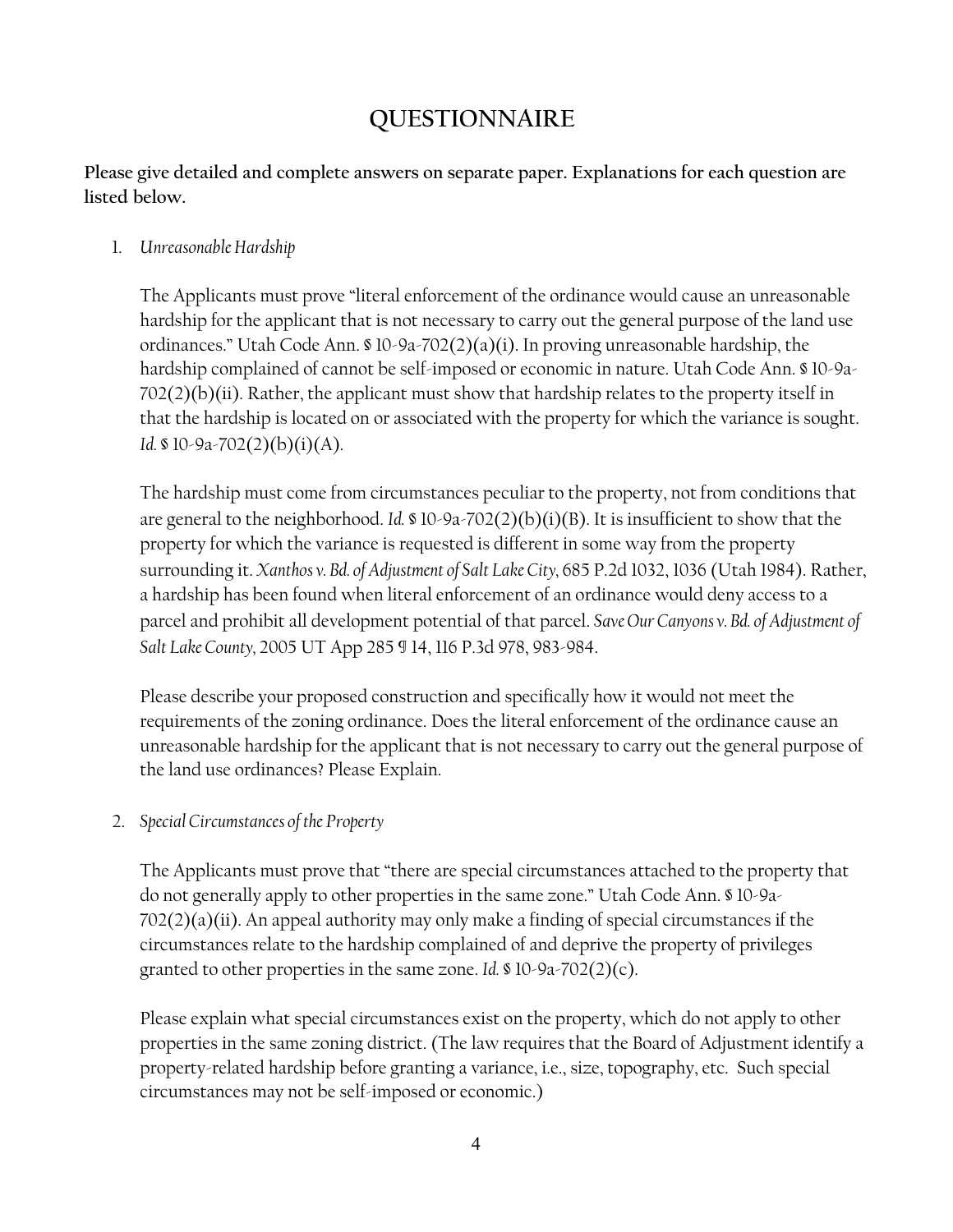## **QUESTIONNAIRE**

**Please give detailed and complete answers on separate paper. Explanations for each question are listed below.** 

### 1. *Unreasonable Hardship*

The Applicants must prove "literal enforcement of the ordinance would cause an unreasonable hardship for the applicant that is not necessary to carry out the general purpose of the land use ordinances." Utah Code Ann. § 10-9a-702(2)(a)(i). In proving unreasonable hardship, the hardship complained of cannot be self-imposed or economic in nature. Utah Code Ann. § 10-9a- $702(2)(b)(ii)$ . Rather, the applicant must show that hardship relates to the property itself in that the hardship is located on or associated with the property for which the variance is sought. *Id.* § 10-9a-702(2)(b)(i)(A).

The hardship must come from circumstances peculiar to the property, not from conditions that are general to the neighborhood. *Id.* § 10-9a-702(2)(b)(i)(B). It is insufficient to show that the property for which the variance is requested is different in some way from the property surrounding it. *Xanthos v. Bd. of Adjustment of Salt Lake City,* 685 P.2d 1032, 1036 (Utah 1984). Rather, a hardship has been found when literal enforcement of an ordinance would deny access to a parcel and prohibit all development potential of that parcel. *Save Our Canyons v. Bd. of Adjustment of Salt Lake County,* 2005 UT App 285 ¶ 14, 116 P.3d 978, 983-984.

Please describe your proposed construction and specifically how it would not meet the requirements of the zoning ordinance. Does the literal enforcement of the ordinance cause an unreasonable hardship for the applicant that is not necessary to carry out the general purpose of the land use ordinances? Please Explain.

2. *Special Circumstances of the Property*

The Applicants must prove that "there are special circumstances attached to the property that do not generally apply to other properties in the same zone." Utah Code Ann. § 10-9a- $702(2)(a)(ii)$ . An appeal authority may only make a finding of special circumstances if the circumstances relate to the hardship complained of and deprive the property of privileges granted to other properties in the same zone. *Id.* § 10-9a-702(2)(c).

Please explain what special circumstances exist on the property, which do not apply to other properties in the same zoning district. (The law requires that the Board of Adjustment identify a property-related hardship before granting a variance, i.e., size, topography, etc. Such special circumstances may not be self-imposed or economic.)